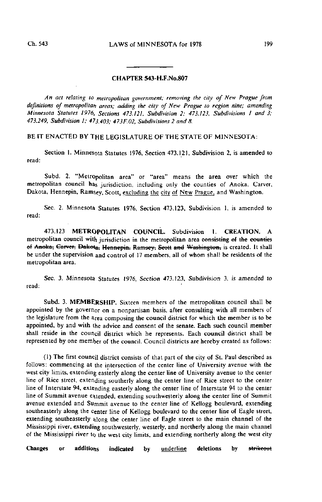## CHAPTER 543-H.F.No.807

An act relating to metropolitan government; removing the city of New Prague from definitions of metropolitan areas; adding the city of New Prague to region nine; amending Minnesota Statutes 1976, Sections 473.121, Subdivision 2; 473.123, Subdivisions I and 3; 473.249, Subdivision I; 473.403; 473F.02, Subdivisions 2 and 8.

BE IT ENACTED BY THE LEGISLATURE OF THE STATE OF MINNESOTA:

Section I. Minnesota Statutes 1976, Section 473.121, Subdivision 2, is amended to read:

Subd. 2. "Metropolitan area" or "area" means the area over which the metropolitan council has jurisdiction, including only the counties of Anoka, Carver, Dakota, Hennepin, Ramsey, Scott, excluding the city of New Prague, and Washington.

Sec. 2. Minnesota Statutes 1976, Section 473.123, Subdivision 1, is amended to read:

473.123 METROPOLITAN COUNCIL. Subdivision I. CREATION. A metropolitan council with jurisdiction in the metropolitan area consisting of the counties of Anoka, Carver, Dakota, Hennepin, Ramsey; Seott and Washington, is created. It shall be under the supervision and control of 17 members, all of whom shall be residents of the metropolitan area.

Sec. 3. Minnesota Statutes 1976, Section 473.123, Subdivision 3, is amended to read:

Subd. 3. MEMBERSHIP. Sixteen members of the metropolitan council shall be appointed by the governor on a nonpartisan basis, after consulting with all members of the legislature from the area composing the council district for which the member is to be appointed, by and with the advice and consent of the senate. Each such council member shall reside in the council district which he represents. Each council district shall be represented by one member of the council. Council districts are hereby created as follows:

(1) The first council district consists of that part of the city of St. Paul described as follows: commencing at the intersection of the center line of University avenue with the west city limits, extending easterly along the center line of University avenue to the center line of Rice street, extending southerly along the center line of Rice street to the center line of Interstate 94, extending easterly along the center line of Interstate 94 to the center line of Summit avenue extended, extending southwesterly along the center line of Summit avenue extended and Summit avenue to the center line of Kellogg boulevard, extending southeasterly along the center line of Kellogg boulevard to the center line of Eagle street, extending southeasterly along the center line of Eagle street to the main channel of the Mississippi river, extending southwesterly, westerly, and northerly along the main channel of the Mississippi river to the west city limits, and extending northerly along the west city

Changes or additio<sub>ns</sub> indicated by <u>underline</u> deletions by s<del>trikeou</del>t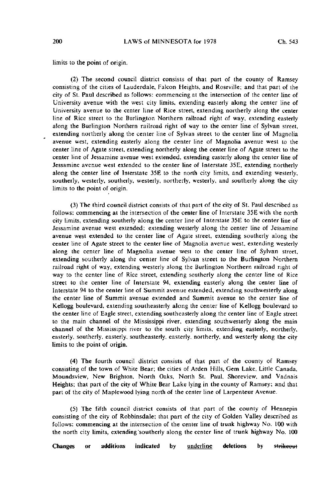limits to the point of origin.

(2) The second council district consists of lhat part of the county of Ramsey consisting of the cities of Lauderdale, Falcon Heights, and Roseville; and that part of the city of St. Paul described as follows: commencing al the intersection of the center line of University avenue with the west city limits, extending easterly along the center line of University avenue to the center line of Rice street, extending northerly along the center line of Rice street to the Burlington Northern railroad right of way, extending easterly along the Burlington Northern railroad right of way to the center line of Sylvan street, extending northerly along the center line of Sylvan street to the center line of Magnolia avenue west, extending easterly along the center line of Magnolia avenue west to the center line of Agate street, extending northerly along the center line of Agate street to the center line of Jessamine avenue west extended, extending easterly along the center line of Jessamine avenue west extended to the center line of Interstate 35E, extending northerly along the center line of Interstate 35E to the north city limits, and extending westerly, southerly, westerly, southerly, westerly, northerly, westerly, and southerly along the city limits to the point of origin.

(3) The third council district consists of that part of the city of St. Paul described as follows: commencing at the intersection of the center line of Interstate 35E with the north city limits, extending southerly along the center line of Interstate 35E to the center line of Jessamine avenue west extended; extending westerly along the center line of Jessamine avenue west extended to the center line of Agate street, extending southerly along the center line of Agate street to the center line of Magnolia avenue west, extending westerly along the center line of Magnolia avenue wesl to the center line of Sylvan street, extending southerly along the center line of Sylvan street to the Burlington Northern railroad right of way, extending westerly along the Burlington Northern railroad right of way to the center line of Rice street, extending southerly along the center line of Rice street to the center line of Interstate 94, extending easterly along the center line of Interstate 94 to the center line of Summit avenue extended, extending southwesterly along the center line of Summil avenue extended and Summit avenue to the center line of Kellogg boulevard, extending southeasterly along the center line of Kellogg boulevard lo the center line of Eagle street, extending southeasterly along the center line of Eagle street to the main channel of the Mississippi river, extending southwesterly along the main channel of the Mississippi river to the south city limits, extending easterly, northerly, easterly, southerly, easterly, southeasterly, easterly, northerly, and westerly along the city limits to the point of origin.

(4) The fourth council district consists of mat part of the county of Ramsey consisting of the town of White Bear; ihe cities of Arden Hills, Gem Lake, Little Canada, Moundsview, New Brighton, North Oaks, North St. Paul, Shoreview. and Vadnais Heights; lhat part of the city of While Bear Lake lying in the county of Ramsey; and that part of the city of Maplewood lying north of the center line of Larpenteur Avenue.

(5) The fifth council district consists of that part of the county of Hennepin consisting of the city of Robbinsdale; that part of the city of Golden Valley described as follows: commencing at the intersection of the center line of trunk highway No. 100 with the north city limits, extending'southerly along the center line of trunk highway No. 100

Changes or additions indicated by <u>underline</u> deletions by <del>strikeou</del>t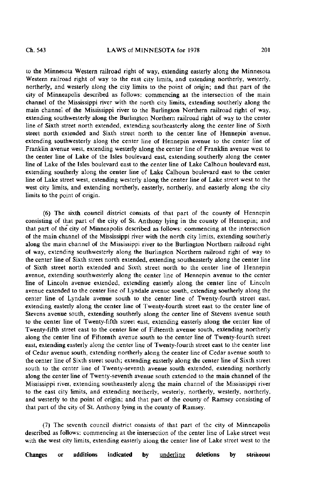to the Minnesota Western railroad right of way, extending easterly along the Minnesota Western railroad right of way to the east city limits, and extending northerly, westerly, northerly, and westerly along the city limits to the point of origin; and that part of the city of Minneapolis described as follows: commencing at the intersection of the main channel of the Mississippi river with the north city limits, extending southerly along the main channel of the Mississippi river to the Burlington Northern railroad right of way, extending southwesterly along the Burlington Northern railroad right of way to the center line of Sixth street north extended, extending southeasterly along the center line of Sixth street north extended and Sixth street north to the center line of Hennepin avenue, extending southwesterly along the center line of Hennepin avenue to the center line of Franklin avenue west, extending westerly along the center line of Franklin avenue west to the center line of Lake of the Isles boulevard east, extending southerly along the center line of Lake of the Isles boulevard east to the center line of Lake Calhoun boulevard east, extending southerly along the center line of Lake Calhoun boulevard east to the center line of Lake street west, extending westerly along the center line of Lake street west to the west city limits, and extending northerly, easterly, northerly, and easterly along the city limits to the point of origin.

(6) The sixth council district consists of that part of the county of Hennepin consisting of that part of the city of St. Anthony lying in the county of Hennepin; and that part of the city of Minneapolis described as follows: commencing at the intersection of the main channel of the Mississippi river with the north city limits, extending southerly along the main channel of the Mississippi river to the Burlington Northern railroad right of way, extending southwesterly along the Burlington Northern railroad right of way to the center line of Sixth street north extended, extending southeasterly along the center line of Sixth street north extended and Sixth street north to the center line of Hennepin avenue, extending southwesterly along the center line of Hennepin avenue to the center line of Lincoln avenue extended, extending easterly along the center line of Lincoln avenue extended to the center line of Lyndale avenue south, extending southerly along the center line of Lyndale avenue south to the center line of Twenty-fourth street east, extending easterly along the center line of Twenty-fourth street east to the center line of Stevens avenue south, extending southerly along the center line of Stevens avenue south to the center line of Twenty-fifth street east, extending easterly along the center line of Twenty-fifth street east to the center line of Fifteenth avenue south, extending northerly along the center line of Fifteenth avenue south to the center line of Twenty-fourth street east, extending easterly along the center line of Twenty-fourth street east to the center line of Cedar avenue south, extending northerly along the center line of Cedar avenue south to the center line of Sixth street south; extending easterly along the center line of Sixth street south to the center line of Twenty-seventh avenue south extended, extending northerly along the center line of Twenty-seventh avenue south extended to the main channel of the Mississippi river, extending southeasterly along the main channel of the Mississippi river to the east city limits, and extending northerly, westerly, northerly, westerly, northerly, and westerly to the point of origin; and that part of the county of Ramsey consisting of that part of the city of St. Anthony lying in the county of Ramsey.

(7) The seventh council district consists of that part of the city of Minneapolis described as follows: commencing at the intersection of the center line of Lake street west with the west city limits, extending easterly along the center line of Lake street west to the

Changes or additions indicated by <u>underline</u> deletions by s<del>trikeou</del>t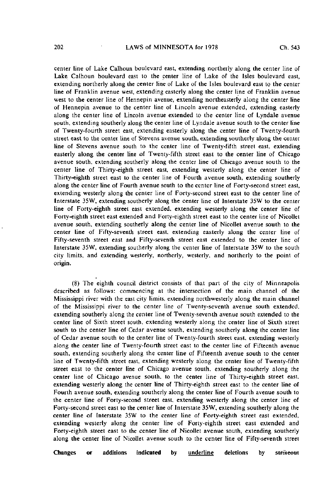center line of Lake Calhoun boulevard east, extending northerly along the center line of Lake Calhoun boulevard east to the center line of Lake of the Isles boulevard east, extending northerly along the center line of Lake of the Isles boulevard east to the center line of Franklin avenue west, extending easterly along the center line of Franklin avenue west to the center line of Hennepin avenue, extending northeasterly along the center line of Hennepin avenue to the center line of Lincoln avenue extended, extending easterly along the center line of Lincoln avenue extended to the center line of Lyndale avenue south, extending southerly along the center line of Lyndale avenue south to the center line of Twenty-fourth street east, extending easterly along the center line of Twenty-fourth street east to the center line of Stevens avenue south, extending southerly along the center line of Stevens avenue south to the center line of Twenty-fifth street east, extending easterly along the center line of Twenty-fifth street east to the center line of Chicago avenue south, extending southerly along the center line of Chicago avenue south to the center line of Thirty-eighth street east, extending westerly along the center line of Thirty-eighth street east to the center line of Fourth avenue south, extending southerly along the center line of Fourth avenue south to the center line of Forty-second street east, extending westerly along the center line of Forty-second street east to the center line of Interstate 35W, extending southerly along the center line of Interstate 35W to the center line of Forty-eighth street east extended, extending westerly along the center line of Forty-eighth street east extended and Forty-eighth street east to the center line of Nicollel avenue south, extending southerly along the center line of Nicollet avenue south to the center line of Fifty-seventh street east, extending easterly along the center line of Fifty-seventh street east and Fifty-seventh street east extended to the center line of Interstate 35W, extending southerly along the center line of Interstate 35W to the south city limits, and extending westerly, northerly, westerly, and northerly to the point of origin.

(8) The eighth council district consists of that part of the city of Minneapolis described as follows: commencing at the intersection of the main channel of the Mississippi river with the east city limits, extending northwesterly along the main channel of the Mississippi river to the center line of Twenty-seventh avenue south extended, extending southerly along the center line of Twenty-seventh avenue south extended to the center line of Sixth street south, extending westerly along the center line of Sixth street south to the center line of Cedar avenue south, extending southerly along the center line of Cedar avenue south to the center line of Twenty-fourth street east, extending westerly along the center line of Twenty-fourth street east to the center line of Fifteenth avenue south, extending southerly along the center line of Fifteenth avenue south to the center line of Twenty-fifth street east, extending westerly along the center line of Twenty-fifth street east to the center line of Chicago avenue south, extending southerly along the center line of Chicago avenue south, to the center line of Thirty-eighth street east. extending westerly along the center line of Thirty-eighth street east to the center line of Fourth avenue south, extending southerly along the center line of Fourth avenue south to the center line of Forty-second street east, extending westerly along the center line of Forty-second street east to the center line of Interstate 35W, extending southerly along the center line of Interstate 35W to the center line of Forty-eighth street east extended, extending westerly along the center line of Forty-eighth street east extended and Forty-eighth street east to the center line of Nicollet avenue south, extending southerly along the center line of Nicollet avenue south to the center line of Fifty-seventh street

Changes or additions indicated by <u>underline</u> deletions by <del>strikeou</del>t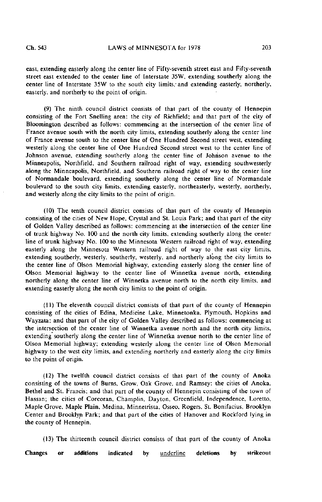east, extending easterly along the center line of Fifty-seventh street east and Fifty-seventh street east extended to the center line of Interstate 35W. extending southerly along the center line of Interstate 35W to the south city limits, and extending easterly, northerly, easterly, and northerly to the point of origin.

(9) The ninth council district consists of that part of the county of Hennepin consisting of the Fort Sneliing area; the city of Richfield; and that part of the city of Bloomington described as follows: commencing at the intersection of the center line of France avenue south with the north city limits, extending southerly along the center line of France avenue south to the center line of One Hundred Second street west, extending westerly along the center line of One Hundred Second street west to the center line of Johnson avenue, extending southerly along the center line of Johnson avenue to the Minneapolis, Northfield, and Southern railroad right of way, extending southwesterly along the Minneapolis, Northfield, and Southern railroad right of way to the center line of Normandale boulevard, extending southerly along the center line of Normandale boulevard to the south city limits, extending easterly, northeasterly, westerly, northerly, and westerly along the city limits to the point of origin.

(10) The tenth council district consists of that part of the county of Hennepin consisting of the cities of New Hope, Crystal and St. Louis Park; and that part of the city of Golden Valley described as follows: commencing at the intersection of the center line of trunk highway No. 100 and the north city limits, extending southerly along the center line of trunk highway No. 100 to the Minnesota Western railroad right of way, extending easterly along the Minnesota Western railroad right of way to ihe east city limits, extending southerly, westerly, southerly, westerly, and northerly along the city limits to the center line of Olson Memorial highway, extending easterly along the center line of Olson Memorial highway to the center line of Winnetka avenue north, extending northerly along the center line of Winnelka avenue north to the north city limits, and extending easterly along the north city limits to the point of origin.

(11) The eleventh council district consists of that part of the county of Hennepin consisting of the cities of Edina, Medicine Lake, Minnelonka. Plymouth, Hopkins and Wayzala; and that part of the city of Golden Valley described as follows: commencing at the intersection of the center line of Winnetka avenue north and the north city limits. extending southerly along the center line of Winnetka avenue north to the center line of Olson Memorial highway; extending westerly along the center line of Olson Memorial highway to the west city limits, and extending northerly and easterly along the city limits to the point of origin.

(12) The twelfth council district consists of that part of the county of Anoka consisting of the towns of Burns, Grow, Oak Grove, and Ramsey; the cities of Anoka, Bethel and St. Francis; and that part of the county of Hennepin consisting of the town of Hassan; the cities of Corcoran, Champlin, Dayton, Greenfield, Independence, Loretto, Maple Grove. Maple Plain, Medina, Minnetrista, Osseo. Rogers, St. Bonifacius, Brooklyn Center and Brooklyn Park; and that part of the cities of Hanover and Rockford lying in the county of Hennepin.

(13) The thirteenth council district consists of that part of the county of Anoka

Changes or additions indicated by underline deletions by strikeout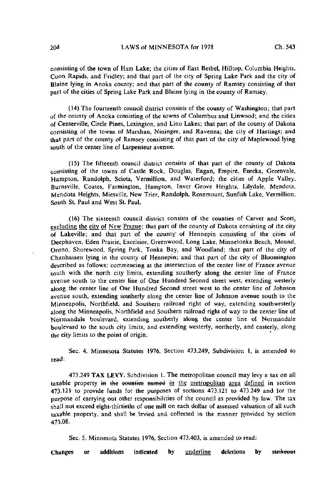consisting of the town of Ham Lake; the cities of East Bethel, Hilltop, Columbia Heights, Coon Rapids, and Fridley; and that part of the city of Spring Lake Park and the city of Blaine lying in Anoka county; and that part of the county of Ramsey consisting of that part of the cities of Spring Lake Park and Blaine lying in the county of Ramsey.

(14) The fourteenth council district consists of the county of Washington; that part of the county of Anoka consisting of the towns of Columbus and Linwood; and the cities of Centerville, Circle Pines, Lexington, and Lino Lakes; that part of the county of Dakota consisting of the towns of Marshan, Nininger, and Ravenna; the city of Hastings; and that part of the county of Ramsey consisting of that part of the city of Maplewood lying south of the center line of Larpenteur avenue.

(15) The fifteenth council district consists of that part of the county of Dakota consisting of the towns of Castle Rock, Douglas, Eagan, Empire, Eureka, Greenvale, Hampton, Randolph, Sciota, Vermillion, and Waterford; the cities of Apple Valley, Bufnsville, Coates, Farmington, Hampton, Inver Grove Heights, Lilydale, Mendota, Mendota Heights, Miesville, New Trier, Randolph, Rosemount, Sunfish Lake, Vermillion, South St. Paul and West St. Paul.

(16) The sixteenth council district consists of the counties of Carver and Scott, excluding the city of New Prague; that part of the county of Dakota consisting of the city  $\overline{of}$  Lakeville; and that part of the county of Hennepin consisting of the cities of Deephaven, Eden Prairie, Excelsior, Greenwood, Long Lake, Minnetonka Beach, Mound, Orono, Shorewood, Spring Park, Tonka Bay, and Woodland; that part of the city of Chsnhassen lying in the county of Hennepin; and that part of the city of Bloomington described as follows: commencing at the intersection of the center line of France avenue south with the north city limits, extending southerly along the center line of France avenue south to the center line of One Hundred Second street west, extending westerly along the center line of One Hundred Second street west to the center line of Johnson avenue south, extending southerly along the center line of Johnson avenue south to the Minneapolis, Northfield, and Southern railroad right of way, extending southwesterly along the Minneapolis, Northfield and Southern railroad right of way to the center line of Nofmandale boulevard, extending southerly along the center line of Normandale boulevard to the south city limits, and extending westerly, northerly, and easterly, along the city limits to the point of origin.

Sec. 4. Minnesota Statutes 1976. Section 473.249, Subdivision I, is amended to read:

473.249 TAX LEVY. Subdivision 1. The metropolitan council may levy a tax on all taxable property in the counties named in the metropolitan area defined in section 473.121 to provide funds for the purposes of sections 473.121 to 473.249 and for the purpose of carrying out other responsibilities of the council as provided by law. The tax shall not exceed eight-thirtieths of one mill on each dollar of assessed valuation of all such taxable property, and shall be levied and collected in the manner provided by section 473,08.

Sec. 5. Minnesota Statutes 1976, Section 473.403, is amended to read:

Changes or additions indicated by **underline** deletions by strikeout